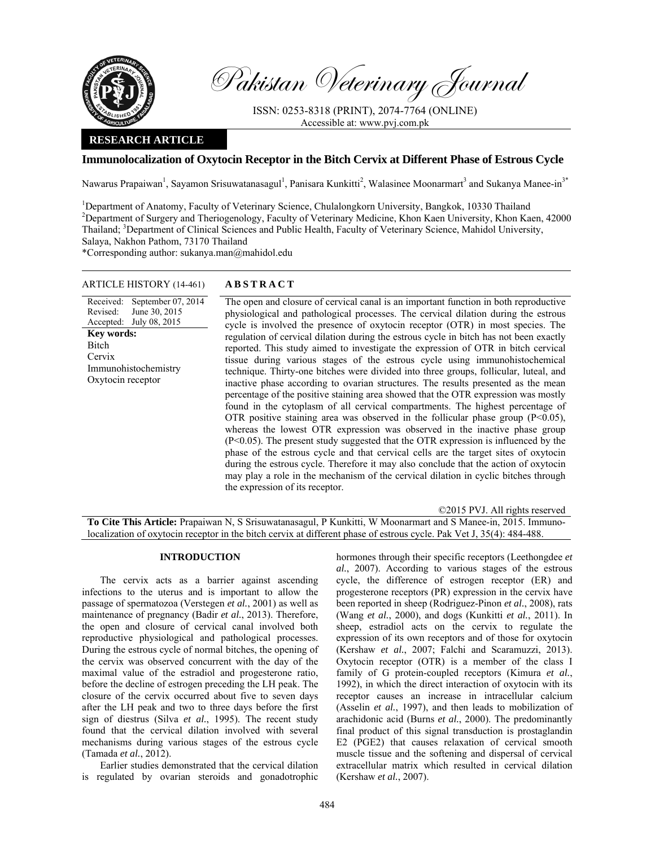

Pakistan Veterinary Journal

ISSN: 0253-8318 (PRINT), 2074-7764 (ONLINE) Accessible at: www.pvj.com.pk

# **RESEARCH ARTICLE**

## **Immunolocalization of Oxytocin Receptor in the Bitch Cervix at Different Phase of Estrous Cycle**

Nawarus Prapaiwan<sup>1</sup>, Sayamon Srisuwatanasagul<sup>1</sup>, Panisara Kunkitti<sup>2</sup>, Walasinee Moonarmart<sup>3</sup> and Sukanya Manee-in<sup>3\*</sup>

<sup>1</sup>Department of Anatomy, Faculty of Veterinary Science, Chulalongkorn University, Bangkok, 10330 Thailand <sup>2</sup>Department of Surgery and Thericagnalogy, Faculty of Veterinary Medicine, *V* han Vesn University, *V* han Vesn <sup>2</sup>Department of Surgery and Theriogenology, Faculty of Veterinary Medicine, Khon Kaen University, Khon Kaen, 42000 Thailand; <sup>3</sup>Department of Clinical Sciences and Public Health, Faculty of Veterinary Science, Mahidol University, Salaya, Nakhon Pathom, 73170 Thailand

\*Corresponding author: sukanya.man@mahidol.edu

### ARTICLE HISTORY (14-461) **ABSTRACT**

Received: September 07, 2014 Revised: Accepted: June 30, 2015 July 08, 2015 **Key words: Bitch** Cervix Immunohistochemistry Oxytocin receptor

 The open and closure of cervical canal is an important function in both reproductive physiological and pathological processes. The cervical dilation during the estrous cycle is involved the presence of oxytocin receptor (OTR) in most species. The regulation of cervical dilation during the estrous cycle in bitch has not been exactly reported. This study aimed to investigate the expression of OTR in bitch cervical tissue during various stages of the estrous cycle using immunohistochemical technique. Thirty-one bitches were divided into three groups, follicular, luteal, and inactive phase according to ovarian structures. The results presented as the mean percentage of the positive staining area showed that the OTR expression was mostly found in the cytoplasm of all cervical compartments. The highest percentage of OTR positive staining area was observed in the follicular phase group  $(P<0.05)$ , whereas the lowest OTR expression was observed in the inactive phase group (P<0.05). The present study suggested that the OTR expression is influenced by the phase of the estrous cycle and that cervical cells are the target sites of oxytocin during the estrous cycle. Therefore it may also conclude that the action of oxytocin may play a role in the mechanism of the cervical dilation in cyclic bitches through the expression of its receptor.

©2015 PVJ. All rights reserved

**To Cite This Article:** Prapaiwan N, S Srisuwatanasagul, P Kunkitti, W Moonarmart and S Manee-in, 2015. Immunolocalization of oxytocin receptor in the bitch cervix at different phase of estrous cycle. Pak Vet J, 35(4): 484-488.

#### **INTRODUCTION**

The cervix acts as a barrier against ascending infections to the uterus and is important to allow the passage of spermatozoa (Verstegen *et al.*, 2001) as well as maintenance of pregnancy (Badir *et al.*, 2013). Therefore, the open and closure of cervical canal involved both reproductive physiological and pathological processes. During the estrous cycle of normal bitches, the opening of the cervix was observed concurrent with the day of the maximal value of the estradiol and progesterone ratio, before the decline of estrogen preceding the LH peak. The closure of the cervix occurred about five to seven days after the LH peak and two to three days before the first sign of diestrus (Silva *et al.*, 1995). The recent study found that the cervical dilation involved with several mechanisms during various stages of the estrous cycle (Tamada *et al.*, 2012).

Earlier studies demonstrated that the cervical dilation is regulated by ovarian steroids and gonadotrophic

hormones through their specific receptors (Leethongdee *et al.*, 2007). According to various stages of the estrous cycle, the difference of estrogen receptor (ER) and progesterone receptors (PR) expression in the cervix have been reported in sheep (Rodriguez-Pinon *et al.*, 2008), rats (Wang *et al.*, 2000), and dogs (Kunkitti *et al.*, 2011). In sheep, estradiol acts on the cervix to regulate the expression of its own receptors and of those for oxytocin (Kershaw *et al.*, 2007; Falchi and Scaramuzzi, 2013). Oxytocin receptor (OTR) is a member of the class I family of G protein-coupled receptors (Kimura *et al.*, 1992), in which the direct interaction of oxytocin with its receptor causes an increase in intracellular calcium (Asselin *et al.*, 1997), and then leads to mobilization of arachidonic acid (Burns *et al.*, 2000). The predominantly final product of this signal transduction is prostaglandin E2 (PGE2) that causes relaxation of cervical smooth muscle tissue and the softening and dispersal of cervical extracellular matrix which resulted in cervical dilation (Kershaw *et al.*, 2007).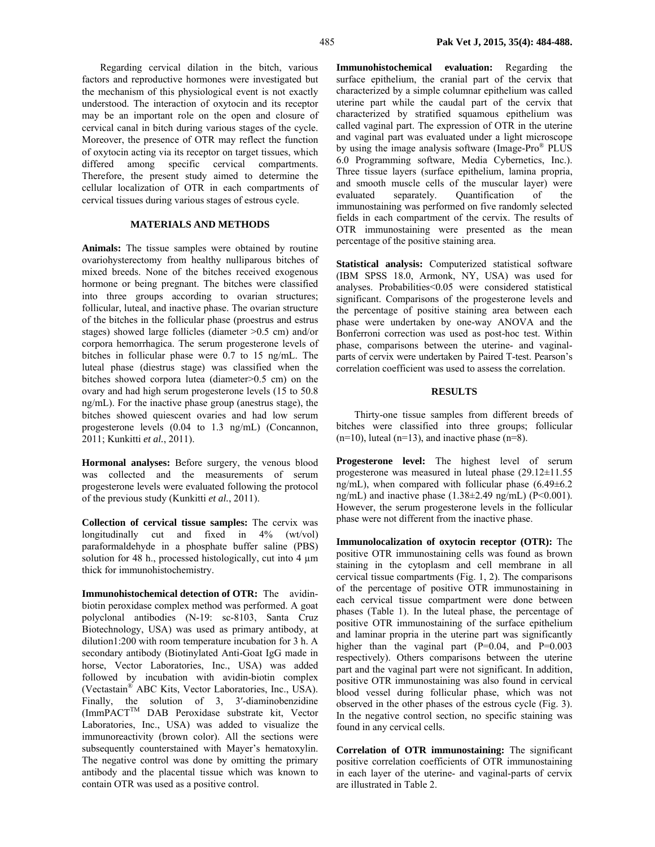Regarding cervical dilation in the bitch, various factors and reproductive hormones were investigated but the mechanism of this physiological event is not exactly understood. The interaction of oxytocin and its receptor may be an important role on the open and closure of cervical canal in bitch during various stages of the cycle. Moreover, the presence of OTR may reflect the function of oxytocin acting via its receptor on target tissues, which differed among specific cervical compartments. Therefore, the present study aimed to determine the cellular localization of OTR in each compartments of cervical tissues during various stages of estrous cycle.

## **MATERIALS AND METHODS**

**Animals:** The tissue samples were obtained by routine ovariohysterectomy from healthy nulliparous bitches of mixed breeds. None of the bitches received exogenous hormone or being pregnant. The bitches were classified into three groups according to ovarian structures; follicular, luteal, and inactive phase. The ovarian structure of the bitches in the follicular phase (proestrus and estrus stages) showed large follicles (diameter >0.5 cm) and/or corpora hemorrhagica. The serum progesterone levels of bitches in follicular phase were 0.7 to 15 ng/mL. The luteal phase (diestrus stage) was classified when the bitches showed corpora lutea (diameter>0.5 cm) on the ovary and had high serum progesterone levels (15 to 50.8 ng/mL). For the inactive phase group (anestrus stage), the bitches showed quiescent ovaries and had low serum progesterone levels (0.04 to 1.3 ng/mL) (Concannon, 2011; Kunkitti *et al.*, 2011).

**Hormonal analyses:** Before surgery, the venous blood was collected and the measurements of serum progesterone levels were evaluated following the protocol of the previous study (Kunkitti *et al.*, 2011).

**Collection of cervical tissue samples:** The cervix was longitudinally cut and fixed in 4% (wt/vol) paraformaldehyde in a phosphate buffer saline (PBS) solution for 48 h., processed histologically, cut into 4  $\mu$ m thick for immunohistochemistry.

**Immunohistochemical detection of OTR:** The avidinbiotin peroxidase complex method was performed. A goat polyclonal antibodies (N-19: sc-8103, Santa Cruz Biotechnology, USA) was used as primary antibody, at dilution1:200 with room temperature incubation for 3 h. A secondary antibody (Biotinylated Anti-Goat IgG made in horse, Vector Laboratories, Inc., USA) was added followed by incubation with avidin-biotin complex (Vectastain® ABC Kits, Vector Laboratories, Inc., USA). Finally, the solution of 3, 3'-diaminobenzidine (ImmPACTTM DAB Peroxidase substrate kit, Vector Laboratories, Inc., USA) was added to visualize the immunoreactivity (brown color). All the sections were subsequently counterstained with Mayer's hematoxylin. The negative control was done by omitting the primary antibody and the placental tissue which was known to contain OTR was used as a positive control.

**Immunohistochemical evaluation:** Regarding the surface epithelium, the cranial part of the cervix that characterized by a simple columnar epithelium was called uterine part while the caudal part of the cervix that characterized by stratified squamous epithelium was called vaginal part. The expression of OTR in the uterine and vaginal part was evaluated under a light microscope by using the image analysis software (Image-Pro® PLUS 6.0 Programming software, Media Cybernetics, Inc.). Three tissue layers (surface epithelium, lamina propria, and smooth muscle cells of the muscular layer) were evaluated separately. Quantification of the immunostaining was performed on five randomly selected fields in each compartment of the cervix. The results of OTR immunostaining were presented as the mean percentage of the positive staining area.

**Statistical analysis:** Computerized statistical software (IBM SPSS 18.0, Armonk, NY, USA) was used for analyses. Probabilities<0.05 were considered statistical significant. Comparisons of the progesterone levels and the percentage of positive staining area between each phase were undertaken by one-way ANOVA and the Bonferroni correction was used as post-hoc test. Within phase, comparisons between the uterine- and vaginalparts of cervix were undertaken by Paired T-test. Pearson's correlation coefficient was used to assess the correlation.

### **RESULTS**

Thirty-one tissue samples from different breeds of bitches were classified into three groups; follicular  $(n=10)$ , luteal  $(n=13)$ , and inactive phase  $(n=8)$ .

**Progesterone level:** The highest level of serum progesterone was measured in luteal phase (29.12±11.55 ng/mL), when compared with follicular phase  $(6.49 \pm 6.2)$ ng/mL) and inactive phase  $(1.38\pm2.49 \text{ ng/mL})$  (P<0.001). However, the serum progesterone levels in the follicular phase were not different from the inactive phase.

**Immunolocalization of oxytocin receptor (OTR):** The positive OTR immunostaining cells was found as brown staining in the cytoplasm and cell membrane in all cervical tissue compartments (Fig. 1, 2). The comparisons of the percentage of positive OTR immunostaining in each cervical tissue compartment were done between phases (Table 1). In the luteal phase, the percentage of positive OTR immunostaining of the surface epithelium and laminar propria in the uterine part was significantly higher than the vaginal part  $(P=0.04$ , and  $P=0.003$ respectively). Others comparisons between the uterine part and the vaginal part were not significant. In addition, positive OTR immunostaining was also found in cervical blood vessel during follicular phase, which was not observed in the other phases of the estrous cycle (Fig. 3). In the negative control section, no specific staining was found in any cervical cells.

**Correlation of OTR immunostaining:** The significant positive correlation coefficients of OTR immunostaining in each layer of the uterine- and vaginal-parts of cervix are illustrated in Table 2.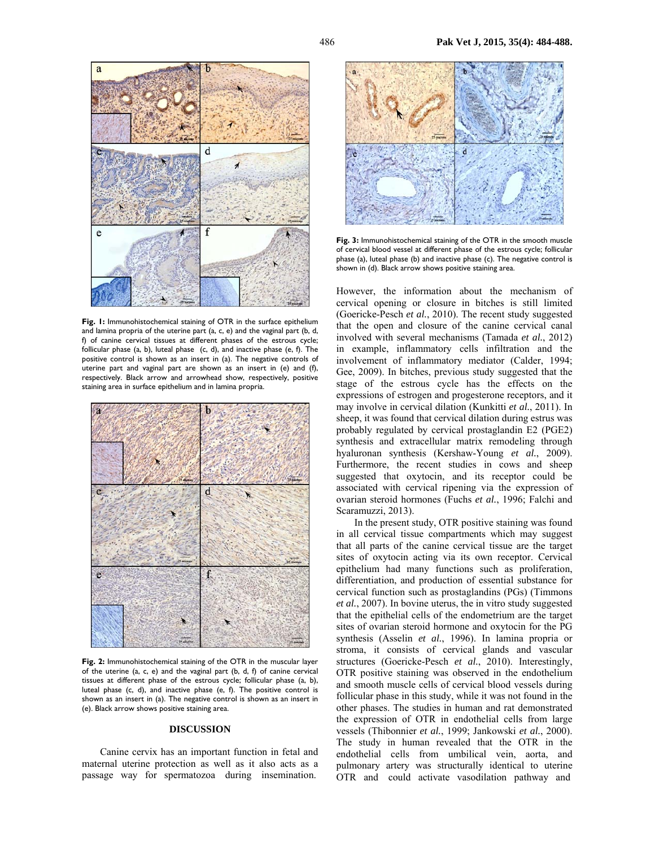

**Fig. 1:** Immunohistochemical staining of OTR in the surface epithelium and lamina propria of the uterine part (a, c, e) and the vaginal part (b, d, f) of canine cervical tissues at different phases of the estrous cycle; follicular phase (a, b), luteal phase (c, d), and inactive phase (e, f). The positive control is shown as an insert in (a). The negative controls of uterine part and vaginal part are shown as an insert in (e) and (f), respectively. Black arrow and arrowhead show, respectively, positive staining area in surface epithelium and in lamina propria.



**Fig. 2:** Immunohistochemical staining of the OTR in the muscular layer of the uterine (a, c, e) and the vaginal part (b, d, f) of canine cervical tissues at different phase of the estrous cycle; follicular phase (a, b), luteal phase (c, d), and inactive phase (e, f). The positive control is shown as an insert in (a). The negative control is shown as an insert in (e). Black arrow shows positive staining area.

### **DISCUSSION**

Canine cervix has an important function in fetal and maternal uterine protection as well as it also acts as a passage way for spermatozoa during insemination.



**Fig. 3:** Immunohistochemical staining of the OTR in the smooth muscle of cervical blood vessel at different phase of the estrous cycle; follicular phase (a), luteal phase (b) and inactive phase (c). The negative control is shown in (d). Black arrow shows positive staining area.

However, the information about the mechanism of cervical opening or closure in bitches is still limited (Goericke-Pesch *et al.*, 2010). The recent study suggested that the open and closure of the canine cervical canal involved with several mechanisms (Tamada *et al.*, 2012) in example, inflammatory cells infiltration and the involvement of inflammatory mediator (Calder, 1994; Gee, 2009). In bitches, previous study suggested that the stage of the estrous cycle has the effects on the expressions of estrogen and progesterone receptors, and it may involve in cervical dilation (Kunkitti *et al.*, 2011). In sheep, it was found that cervical dilation during estrus was probably regulated by cervical prostaglandin E2 (PGE2) synthesis and extracellular matrix remodeling through hyaluronan synthesis (Kershaw-Young *et al.*, 2009). Furthermore, the recent studies in cows and sheep suggested that oxytocin, and its receptor could be associated with cervical ripening via the expression of ovarian steroid hormones (Fuchs *et al.*, 1996; Falchi and Scaramuzzi, 2013).

In the present study, OTR positive staining was found in all cervical tissue compartments which may suggest that all parts of the canine cervical tissue are the target sites of oxytocin acting via its own receptor. Cervical epithelium had many functions such as proliferation, differentiation, and production of essential substance for cervical function such as prostaglandins (PGs) (Timmons *et al.*, 2007). In bovine uterus, the in vitro study suggested that the epithelial cells of the endometrium are the target sites of ovarian steroid hormone and oxytocin for the PG synthesis (Asselin *et al.*, 1996). In lamina propria or stroma, it consists of cervical glands and vascular structures (Goericke-Pesch *et al.*, 2010). Interestingly, OTR positive staining was observed in the endothelium and smooth muscle cells of cervical blood vessels during follicular phase in this study, while it was not found in the other phases. The studies in human and rat demonstrated the expression of OTR in endothelial cells from large vessels (Thibonnier *et al.*, 1999; Jankowski *et al.*, 2000). The study in human revealed that the OTR in the endothelial cells from umbilical vein, aorta, and pulmonary artery was structurally identical to uterine OTR and could activate vasodilation pathway and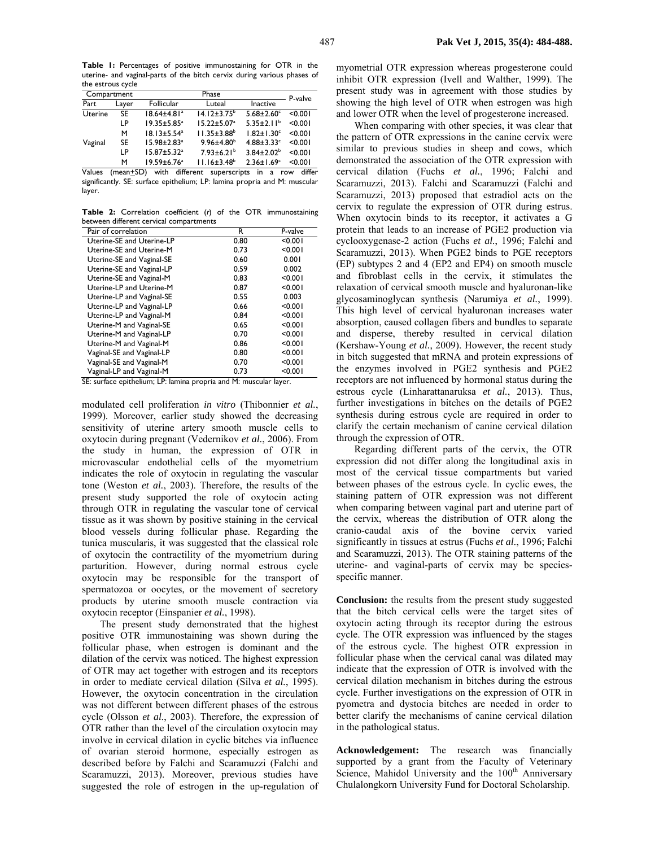**Table 1:** Percentages of positive immunostaining for OTR in the uterine- and vaginal-parts of the bitch cervix during various phases of the estrous cycle

| Compartment |             | Phase                         |                              |                              | P-valve       |
|-------------|-------------|-------------------------------|------------------------------|------------------------------|---------------|
| Part        | Layer       | <b>Follicular</b>             | Luteal                       | Inactive                     |               |
| Uterine     | SE          | $18.64 \pm 4.81$ <sup>a</sup> | $14.12 \pm 3.75^b$           | $5.68 \pm 2.60$ <sup>c</sup> | < 0.001       |
|             | LP          | $19.35 \pm 5.85^{\circ}$      | $15.22 \pm 5.07^a$           | $5.35 \pm 2.11^b$            | < 0.001       |
| Vaginal     | м           | $18.13 \pm 5.54^a$            | $11.35 \pm 3.88^b$           | $1.82 \pm 1.30^c$            | < 0.001       |
|             | SE          | $15.98 \pm 2.83^a$            | $9.96 \pm 4.80^b$            | $4.88 \pm 3.33$ <sup>c</sup> | < 0.001       |
|             | ΙP          | $15.87 \pm 5.32^a$            | $7.93 \pm 6.21$ <sup>b</sup> | $3.84 \pm 2.02^b$            | < 0.001       |
|             | м           | $19.59 \pm 6.76^a$            | $11.16 \pm 3.48^b$           | $2.36 \pm 1.69$ <sup>c</sup> | < 0.001       |
| Values      | $(mean+SD)$ | with different                | superscripts                 | in<br>a                      | differ<br>row |

significantly. SE: surface epithelium; LP: lamina propria and M: muscular layer.

**Table 2:** Correlation coefficient (*r*) of the OTR immunostaining between different cervical compartments

| Pair of correlation       | R    | P-valve |
|---------------------------|------|---------|
| Uterine-SE and Uterine-LP | 0.80 | < 0.001 |
| Uterine-SE and Uterine-M  | 0.73 | < 0.001 |
| Uterine-SE and Vaginal-SE | 0.60 | 0.001   |
| Uterine-SE and Vaginal-LP | 0.59 | 0.002   |
| Uterine-SE and Vaginal-M  | 0.83 | < 0.001 |
| Uterine-LP and Uterine-M  | 0.87 | < 0.001 |
| Uterine-LP and Vaginal-SE | 0.55 | 0.003   |
| Uterine-LP and Vaginal-LP | 0.66 | < 0.001 |
| Uterine-LP and Vaginal-M  | 0.84 | < 0.001 |
| Uterine-M and Vaginal-SE  | 0.65 | < 0.001 |
| Uterine-M and Vaginal-LP  | 0.70 | < 0.001 |
| Uterine-M and Vaginal-M   | 0.86 | < 0.001 |
| Vaginal-SE and Vaginal-LP | 0.80 | < 0.001 |
| Vaginal-SE and Vaginal-M  | 0.70 | < 0.001 |
| Vaginal-LP and Vaginal-M  | 0.73 | < 0.001 |

SE: surface epithelium; LP: lamina propria and M: muscular layer.

modulated cell proliferation *in vitro* (Thibonnier *et al.*, 1999). Moreover, earlier study showed the decreasing sensitivity of uterine artery smooth muscle cells to oxytocin during pregnant (Vedernikov *et al.*, 2006). From the study in human, the expression of OTR in microvascular endothelial cells of the myometrium indicates the role of oxytocin in regulating the vascular tone (Weston *et al.*, 2003). Therefore, the results of the present study supported the role of oxytocin acting through OTR in regulating the vascular tone of cervical tissue as it was shown by positive staining in the cervical blood vessels during follicular phase. Regarding the tunica muscularis, it was suggested that the classical role of oxytocin the contractility of the myometrium during parturition. However, during normal estrous cycle oxytocin may be responsible for the transport of spermatozoa or oocytes, or the movement of secretory products by uterine smooth muscle contraction via oxytocin receptor (Einspanier *et al.*, 1998).

The present study demonstrated that the highest positive OTR immunostaining was shown during the follicular phase, when estrogen is dominant and the dilation of the cervix was noticed. The highest expression of OTR may act together with estrogen and its receptors in order to mediate cervical dilation (Silva *et al.*, 1995). However, the oxytocin concentration in the circulation was not different between different phases of the estrous cycle (Olsson *et al.*, 2003). Therefore, the expression of OTR rather than the level of the circulation oxytocin may involve in cervical dilation in cyclic bitches via influence of ovarian steroid hormone, especially estrogen as described before by Falchi and Scaramuzzi (Falchi and Scaramuzzi, 2013). Moreover, previous studies have suggested the role of estrogen in the up-regulation of myometrial OTR expression whereas progesterone could inhibit OTR expression (Ivell and Walther, 1999). The present study was in agreement with those studies by showing the high level of OTR when estrogen was high and lower OTR when the level of progesterone increased.

When comparing with other species, it was clear that the pattern of OTR expressions in the canine cervix were similar to previous studies in sheep and cows, which demonstrated the association of the OTR expression with cervical dilation (Fuchs *et al.*, 1996; Falchi and Scaramuzzi, 2013). Falchi and Scaramuzzi (Falchi and Scaramuzzi, 2013) proposed that estradiol acts on the cervix to regulate the expression of OTR during estrus. When oxytocin binds to its receptor, it activates a G protein that leads to an increase of PGE2 production via cyclooxygenase-2 action (Fuchs *et al.*, 1996; Falchi and Scaramuzzi, 2013). When PGE2 binds to PGE receptors (EP) subtypes 2 and 4 (EP2 and EP4) on smooth muscle and fibroblast cells in the cervix, it stimulates the relaxation of cervical smooth muscle and hyaluronan-like glycosaminoglycan synthesis (Narumiya *et al.*, 1999). This high level of cervical hyaluronan increases water absorption, caused collagen fibers and bundles to separate and disperse, thereby resulted in cervical dilation (Kershaw-Young *et al.*, 2009). However, the recent study in bitch suggested that mRNA and protein expressions of the enzymes involved in PGE2 synthesis and PGE2 receptors are not influenced by hormonal status during the estrous cycle (Linharattanaruksa *et al.*, 2013). Thus, further investigations in bitches on the details of PGE2 synthesis during estrous cycle are required in order to clarify the certain mechanism of canine cervical dilation through the expression of OTR.

Regarding different parts of the cervix, the OTR expression did not differ along the longitudinal axis in most of the cervical tissue compartments but varied between phases of the estrous cycle. In cyclic ewes, the staining pattern of OTR expression was not different when comparing between vaginal part and uterine part of the cervix, whereas the distribution of OTR along the cranio-caudal axis of the bovine cervix varied significantly in tissues at estrus (Fuchs *et al.*, 1996; Falchi and Scaramuzzi, 2013). The OTR staining patterns of the uterine- and vaginal-parts of cervix may be speciesspecific manner.

**Conclusion:** the results from the present study suggested that the bitch cervical cells were the target sites of oxytocin acting through its receptor during the estrous cycle. The OTR expression was influenced by the stages of the estrous cycle. The highest OTR expression in follicular phase when the cervical canal was dilated may indicate that the expression of OTR is involved with the cervical dilation mechanism in bitches during the estrous cycle. Further investigations on the expression of OTR in pyometra and dystocia bitches are needed in order to better clarify the mechanisms of canine cervical dilation in the pathological status.

**Acknowledgement:** The research was financially supported by a grant from the Faculty of Veterinary Science, Mahidol University and the  $100<sup>th</sup>$  Anniversary Chulalongkorn University Fund for Doctoral Scholarship.